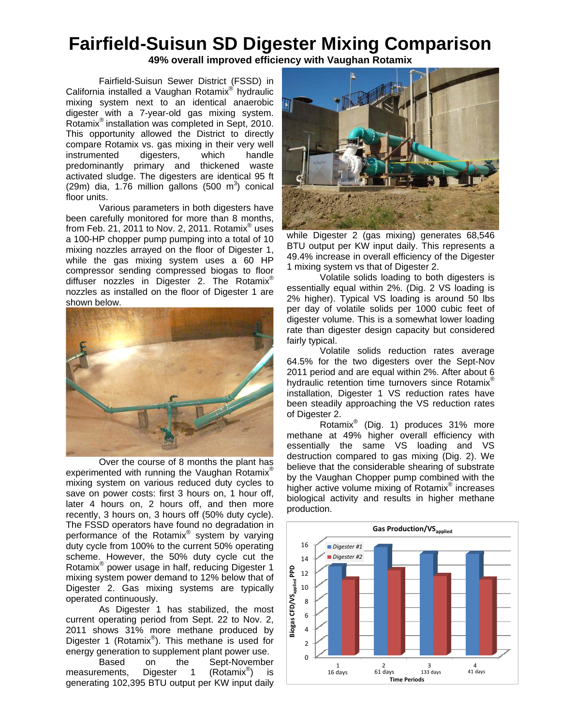## **Fairfield-Suisun SD Digester Mixing Comparison**

**49% overall improved efficiency with Vaughan Rotamix** 

Fairfield-Suisun Sewer District (FSSD) in California installed a Vaughan Rotamix® hydraulic mixing system next to an identical anaerobic digester with a 7-year-old gas mixing system. Rotamix® installation was completed in Sept, 2010. This opportunity allowed the District to directly compare Rotamix vs. gas mixing in their very well instrumented digesters, which handle predominantly primary and thickened waste activated sludge. The digesters are identical 95 ft  $(29m)$  dia, 1.76 million gallons  $(500 \text{ m}^3)$  conical floor units.

Various parameters in both digesters have been carefully monitored for more than 8 months, from Feb. 21, 2011 to Nov. 2, 2011. Rotamix $^{\circ}$  uses a 100-HP chopper pump pumping into a total of 10 mixing nozzles arrayed on the floor of Digester 1, while the gas mixing system uses a 60 HP compressor sending compressed biogas to floor diffuser nozzles in Digester 2. The Rotamix® nozzles as installed on the floor of Digester 1 are shown below.



Over the course of 8 months the plant has experimented with running the Vaughan Rotamix<sup>®</sup> mixing system on various reduced duty cycles to save on power costs: first 3 hours on, 1 hour off, later 4 hours on, 2 hours off, and then more recently, 3 hours on, 3 hours off (50% duty cycle). The FSSD operators have found no degradation in performance of the Rotamix® system by varying duty cycle from 100% to the current 50% operating scheme. However, the 50% duty cycle cut the Rotamix® power usage in half, reducing Digester 1 mixing system power demand to 12% below that of Digester 2. Gas mixing systems are typically operated continuously.

As Digester 1 has stabilized, the most current operating period from Sept. 22 to Nov. 2, 2011 shows 31% more methane produced by Digester 1 (Rotamix®). This methane is used for energy generation to supplement plant power use.

Based on the Sept-November<br>ements. Digester 1 (Rotamix<sup>®</sup>) is measurements, Digester 1 ) is generating 102,395 BTU output per KW input daily



while Digester 2 (gas mixing) generates 68,546 BTU output per KW input daily. This represents a 49.4% increase in overall efficiency of the Digester 1 mixing system vs that of Digester 2.

Volatile solids loading to both digesters is essentially equal within 2%. (Dig. 2 VS loading is 2% higher). Typical VS loading is around 50 lbs per day of volatile solids per 1000 cubic feet of digester volume. This is a somewhat lower loading rate than digester design capacity but considered fairly typical.

Volatile solids reduction rates average 64.5% for the two digesters over the Sept-Nov 2011 period and are equal within 2%. After about 6 hydraulic retention time turnovers since Rotamix<sup>®</sup> installation, Digester 1 VS reduction rates have been steadily approaching the VS reduction rates of Digester 2.

Rotamix<sup>®</sup> (Dig. 1) produces 31% more methane at 49% higher overall efficiency with essentially the same VS loading and VS destruction compared to gas mixing (Dig. 2). We believe that the considerable shearing of substrate by the Vaughan Chopper pump combined with the higher active volume mixing of Rotamix<sup>®</sup> increases biological activity and results in higher methane production.